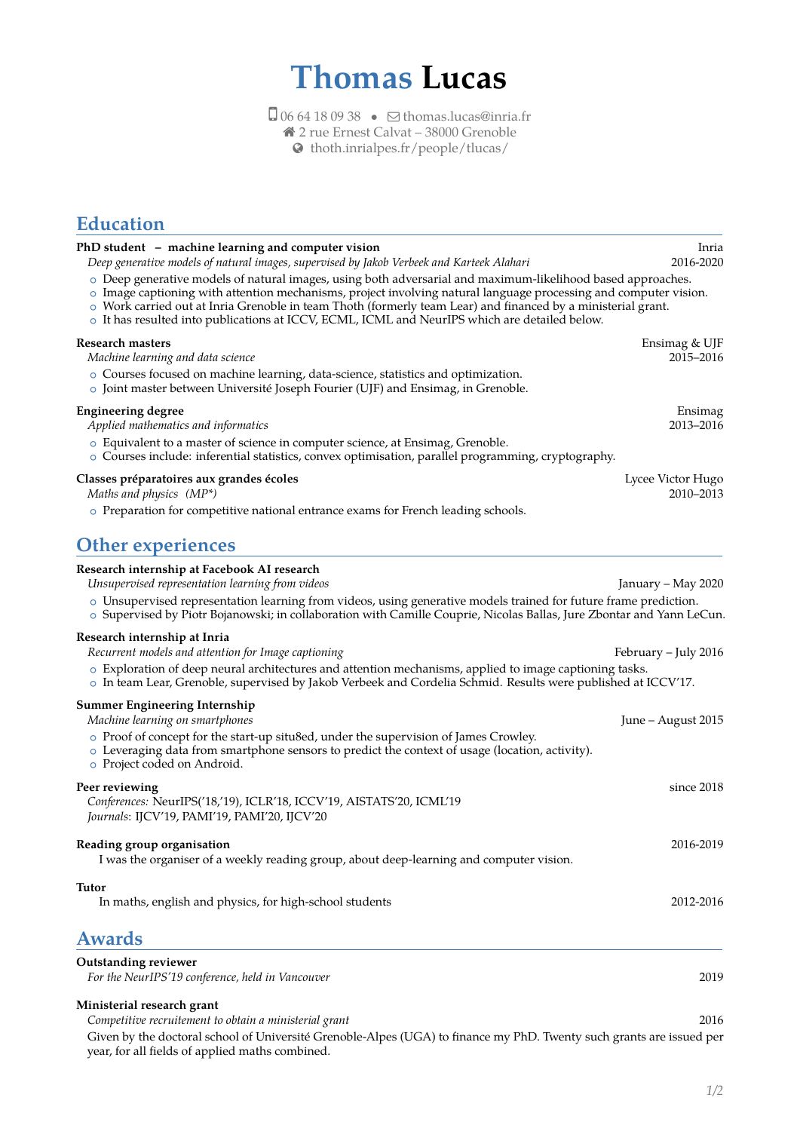# **Thomas Lucas**

 $\Box$  06 64 18 09 38 •  $\Box$  [thomas.lucas@inria.fr](mailto:thomas.lucas@inria.fr) 2 rue Ernest Calvat – 38000 Grenoble

[thoth.inrialpes.fr/people/tlucas/](http://thoth.inrialpes.fr/people/tlucas/)

## **Education**

| PhD student - machine learning and computer vision<br>Deep generative models of natural images, supervised by Jakob Verbeek and Karteek Alahari                                                                                                                                                                                                                                                                                                  | Inria<br>2016-2020             |
|--------------------------------------------------------------------------------------------------------------------------------------------------------------------------------------------------------------------------------------------------------------------------------------------------------------------------------------------------------------------------------------------------------------------------------------------------|--------------------------------|
| o Deep generative models of natural images, using both adversarial and maximum-likelihood based approaches.<br>o Image captioning with attention mechanisms, project involving natural language processing and computer vision.<br>o Work carried out at Inria Grenoble in team Thoth (formerly team Lear) and financed by a ministerial grant.<br>o It has resulted into publications at ICCV, ECML, ICML and NeurIPS which are detailed below. |                                |
| <b>Research masters</b><br>Machine learning and data science                                                                                                                                                                                                                                                                                                                                                                                     | Ensimag & UJF<br>2015-2016     |
| $\circ$ Courses focused on machine learning, data-science, statistics and optimization.<br>$\circ$ Joint master between Université Joseph Fourier (UJF) and Ensimag, in Grenoble.                                                                                                                                                                                                                                                                |                                |
| <b>Engineering degree</b><br>Applied mathematics and informatics                                                                                                                                                                                                                                                                                                                                                                                 | Ensimag<br>2013-2016           |
| o Equivalent to a master of science in computer science, at Ensimag, Grenoble.<br>$\circ$ Courses include: inferential statistics, convex optimisation, parallel programming, cryptography.                                                                                                                                                                                                                                                      |                                |
| Classes préparatoires aux grandes écoles<br>Maths and physics $(MP^*)$                                                                                                                                                                                                                                                                                                                                                                           | Lycee Victor Hugo<br>2010–2013 |
| $\circ$ Preparation for competitive national entrance exams for French leading schools.                                                                                                                                                                                                                                                                                                                                                          |                                |
| <b>Other experiences</b>                                                                                                                                                                                                                                                                                                                                                                                                                         |                                |
| Research internship at Facebook AI research                                                                                                                                                                                                                                                                                                                                                                                                      |                                |
| Unsupervised representation learning from videos<br>o Unsupervised representation learning from videos, using generative models trained for future frame prediction.<br>o Supervised by Piotr Bojanowski; in collaboration with Camille Couprie, Nicolas Ballas, Jure Zbontar and Yann LeCun.                                                                                                                                                    | January – May 2020             |
| Research internship at Inria                                                                                                                                                                                                                                                                                                                                                                                                                     |                                |
| Recurrent models and attention for Image captioning<br>o Exploration of deep neural architectures and attention mechanisms, applied to image captioning tasks.<br>o In team Lear, Grenoble, supervised by Jakob Verbeek and Cordelia Schmid. Results were published at ICCV'17.                                                                                                                                                                  | February – July 2016           |
| <b>Summer Engineering Internship</b>                                                                                                                                                                                                                                                                                                                                                                                                             |                                |
| Machine learning on smartphones<br>○ Proof of concept for the start-up situ8ed, under the supervision of James Crowley.                                                                                                                                                                                                                                                                                                                          | June - August 2015             |
| o Leveraging data from smartphone sensors to predict the context of usage (location, activity).<br>o Project coded on Android.                                                                                                                                                                                                                                                                                                                   |                                |
| Peer reviewing                                                                                                                                                                                                                                                                                                                                                                                                                                   | since 2018                     |
| Conferences: NeurIPS('18,'19), ICLR'18, ICCV'19, AISTATS'20, ICML'19<br>Journals: IJCV'19, PAMI'19, PAMI'20, IJCV'20                                                                                                                                                                                                                                                                                                                             |                                |
| Reading group organisation<br>I was the organiser of a weekly reading group, about deep-learning and computer vision.                                                                                                                                                                                                                                                                                                                            | 2016-2019                      |
| <b>Tutor</b>                                                                                                                                                                                                                                                                                                                                                                                                                                     |                                |
| In maths, english and physics, for high-school students                                                                                                                                                                                                                                                                                                                                                                                          | 2012-2016                      |
| <b>Awards</b>                                                                                                                                                                                                                                                                                                                                                                                                                                    |                                |
| <b>Outstanding reviewer</b><br>For the NeurIPS'19 conference, held in Vancouver                                                                                                                                                                                                                                                                                                                                                                  | 2019                           |
| Ministerial research grant                                                                                                                                                                                                                                                                                                                                                                                                                       |                                |
| Competitive recruitement to obtain a ministerial grant<br>Given by the doctoral school of Université Grenoble-Alpes (UGA) to finance my PhD. Twenty such grants are issued per<br>year, for all fields of applied maths combined.                                                                                                                                                                                                                | 2016                           |